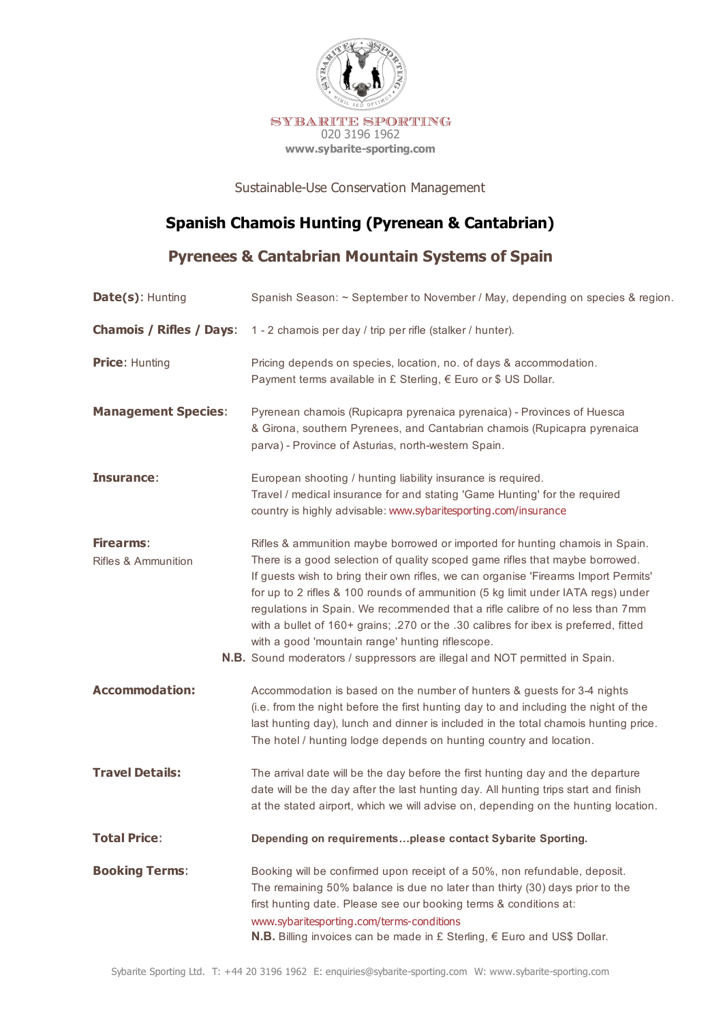

Sustainable-Use Conservation Management

## **Spanish Chamois Hunting (Pyrenean & Cantabrian)**

**Pyrenees & Cantabrian Mountain Systems of Spain**

| Date(s): Hunting                        | Spanish Season: ~ September to November / May, depending on species & region.                                                                                                                                                                                                                                                                                                                                                                                                                                                                                                                                                                       |
|-----------------------------------------|-----------------------------------------------------------------------------------------------------------------------------------------------------------------------------------------------------------------------------------------------------------------------------------------------------------------------------------------------------------------------------------------------------------------------------------------------------------------------------------------------------------------------------------------------------------------------------------------------------------------------------------------------------|
| <b>Chamois / Rifles / Days:</b>         | 1 - 2 chamois per day / trip per rifle (stalker / hunter).                                                                                                                                                                                                                                                                                                                                                                                                                                                                                                                                                                                          |
| <b>Price: Hunting</b>                   | Pricing depends on species, location, no. of days & accommodation.<br>Payment terms available in £ Sterling, € Euro or \$ US Dollar.                                                                                                                                                                                                                                                                                                                                                                                                                                                                                                                |
| <b>Management Species:</b>              | Pyrenean chamois (Rupicapra pyrenaica pyrenaica) - Provinces of Huesca<br>& Girona, southern Pyrenees, and Cantabrian chamois (Rupicapra pyrenaica<br>parva) - Province of Asturias, north-western Spain.                                                                                                                                                                                                                                                                                                                                                                                                                                           |
| Insurance:                              | European shooting / hunting liability insurance is required.<br>Travel / medical insurance for and stating 'Game Hunting' for the required<br>country is highly advisable: www.sybaritesporting.com/insurance                                                                                                                                                                                                                                                                                                                                                                                                                                       |
| <b>Firearms:</b><br>Rifles & Ammunition | Rifles & ammunition maybe borrowed or imported for hunting chamois in Spain.<br>There is a good selection of quality scoped game rifles that maybe borrowed.<br>If guests wish to bring their own rifles, we can organise 'Firearms Import Permits'<br>for up to 2 rifles & 100 rounds of ammunition (5 kg limit under IATA regs) under<br>regulations in Spain. We recommended that a rifle calibre of no less than 7mm<br>with a bullet of 160+ grains; .270 or the .30 calibres for ibex is preferred, fitted<br>with a good 'mountain range' hunting riflescope.<br>N.B. Sound moderators / suppressors are illegal and NOT permitted in Spain. |
| <b>Accommodation:</b>                   | Accommodation is based on the number of hunters & guests for 3-4 nights<br>(i.e. from the night before the first hunting day to and including the night of the<br>last hunting day), lunch and dinner is included in the total chamois hunting price.<br>The hotel / hunting lodge depends on hunting country and location.                                                                                                                                                                                                                                                                                                                         |
| <b>Travel Details:</b>                  | The arrival date will be the day before the first hunting day and the departure<br>date will be the day after the last hunting day. All hunting trips start and finish<br>at the stated airport, which we will advise on, depending on the hunting location.                                                                                                                                                                                                                                                                                                                                                                                        |
| <b>Total Price:</b>                     | Depending on requirementsplease contact Sybarite Sporting.                                                                                                                                                                                                                                                                                                                                                                                                                                                                                                                                                                                          |
| <b>Booking Terms:</b>                   | Booking will be confirmed upon receipt of a 50%, non refundable, deposit.<br>The remaining 50% balance is due no later than thirty (30) days prior to the<br>first hunting date. Please see our booking terms & conditions at:<br>www.sybaritesporting.com/terms-conditions<br><b>N.B.</b> Billing invoices can be made in £ Sterling, $∈$ Euro and US\$ Dollar.                                                                                                                                                                                                                                                                                    |